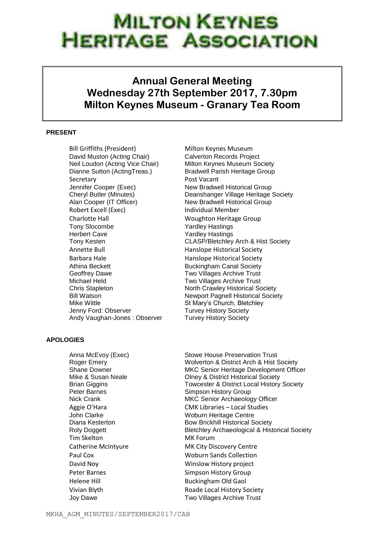## **MILTON KEYNES HERITAGE ASSOCIATION**

## **Annual General Meeting Wednesday 27th September 2017, 7.30pm Milton Keynes Museum - Granary Tea Room**

## **PRESENT**

Bill Griffiths (President) Milton Keynes Museum David Muston (Acting Chair) Calverton Records Project Neil Loudon (Acting Vice Chair) Milton Keynes Museum Society Dianne Sutton (ActingTreas.) Bradwell Parish Heritage Group Secretary **Post Vacant** Jennifer Cooper (Exec) New Bradwell Historical Group Alan Cooper (IT Officer) New Bradwell Historical Group Robert Excell (Exec) and Individual Member Charlotte Hall **Charlotte Hall** Woughton Heritage Group Tony Slocombe Yardley Hastings Herbert Cave Yardley Hastings Annette Bull **Annette Bull** Hanslope Historical Society Barbara Hale **Hanslope Historical Society** Athina Beckett **Buckingham Canal Society** Geoffrey Dawe Two Villages Archive Trust Michael Held **Two Villages Archive Trust** Chris Stapleton North Crawley Historical Society Mike Wittle **St Mary's Church, Bletchley** Jenny Ford: Observer Turvey History Society Andy Vaughan-Jones: Observer Turvey History Society

## **APOLOGIES**

Tim Skelton MK Forum Helene Hill Buckingham Old Gaol

Cheryl Butler (Minutes) Deanshanger Village Heritage Society Tony Kesten CLASP/Bletchley Arch & Hist Society Bill Watson Newport Pagnell Historical Society

Anna McEvoy (Exec) Stowe House Preservation Trust Roger Emery Wolverton & District Arch & Hist Society Shane Downer MKC Senior Heritage Development Officer Mike & Susan Neale **Olney & District Historical Society** Brian Giggins Towcester & District Local History Society Peter Barnes **Simpson History Group** Nick Crank MKC Senior Archaeology Officer Aggie O'Hara CMK Libraries – Local Studies John Clarke Woburn Heritage Centre Diana Kesterton **Bow Brickhill Historical Society** Roly Doggett **Bletchley Archaeological & Historical Society** Catherine McIntyure MK City Discovery Centre Paul Cox Woburn Sands Collection David Noy Winslow History project Peter Barnes **Simpson History Group** Vivian Blyth **Roade Local History Society** Joy Dawe Two Villages Archive Trust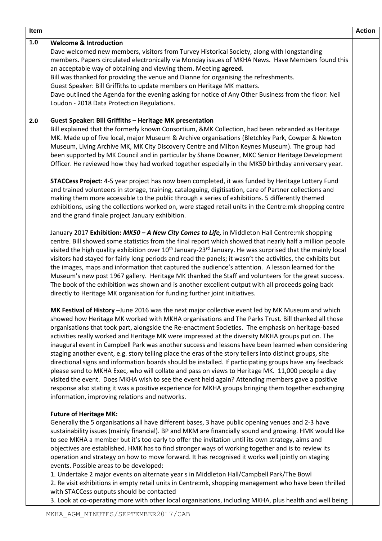| 1.0<br><b>Welcome &amp; Introduction</b><br>Dave welcomed new members, visitors from Turvey Historical Society, along with longstanding<br>members. Papers circulated electronically via Monday issues of MKHA News. Have Members found this<br>an acceptable way of obtaining and viewing them. Meeting agreed.<br>Bill was thanked for providing the venue and Dianne for organising the refreshments.<br>Guest Speaker: Bill Griffiths to update members on Heritage MK matters.<br>Dave outlined the Agenda for the evening asking for notice of Any Other Business from the floor: Neil<br>Loudon - 2018 Data Protection Regulations.<br><b>Guest Speaker: Bill Griffiths - Heritage MK presentation</b><br>2.0<br>Bill explained that the formerly known Consortium, &MK Collection, had been rebranded as Heritage<br>MK. Made up of five local, major Museum & Archive organisations (Bletchley Park, Cowper & Newton<br>Museum, Living Archive MK, MK City Discovery Centre and Milton Keynes Museum). The group had<br>been supported by MK Council and in particular by Shane Downer, MKC Senior Heritage Development<br>Officer. He reviewed how they had worked together especially in the MK50 birthday anniversary year.<br>STACCess Project: 4-5 year project has now been completed, it was funded by Heritage Lottery Fund<br>and trained volunteers in storage, training, cataloguing, digitisation, care of Partner collections and<br>making them more accessible to the public through a series of exhibitions. 5 differently themed<br>exhibitions, using the collections worked on, were staged retail units in the Centre: mk shopping centre<br>and the grand finale project January exhibition.<br>January 2017 Exhibition: MK50 - A New City Comes to Life, in Middleton Hall Centre: mk shopping<br>centre. Bill showed some statistics from the final report which showed that nearly half a million people<br>visited the high quality exhibition over 10 <sup>th</sup> January-23 <sup>rd</sup> January. He was surprised that the mainly local<br>visitors had stayed for fairly long periods and read the panels; it wasn't the activities, the exhibits but<br>the images, maps and information that captured the audience's attention. A lesson learned for the<br>Museum's new post 1967 gallery. Heritage MK thanked the Staff and volunteers for the great success.<br>The book of the exhibition was shown and is another excellent output with all proceeds going back<br>directly to Heritage MK organisation for funding further joint initiatives.<br>MK Festival of History - June 2016 was the next major collective event led by MK Museum and which | Item |
|-----------------------------------------------------------------------------------------------------------------------------------------------------------------------------------------------------------------------------------------------------------------------------------------------------------------------------------------------------------------------------------------------------------------------------------------------------------------------------------------------------------------------------------------------------------------------------------------------------------------------------------------------------------------------------------------------------------------------------------------------------------------------------------------------------------------------------------------------------------------------------------------------------------------------------------------------------------------------------------------------------------------------------------------------------------------------------------------------------------------------------------------------------------------------------------------------------------------------------------------------------------------------------------------------------------------------------------------------------------------------------------------------------------------------------------------------------------------------------------------------------------------------------------------------------------------------------------------------------------------------------------------------------------------------------------------------------------------------------------------------------------------------------------------------------------------------------------------------------------------------------------------------------------------------------------------------------------------------------------------------------------------------------------------------------------------------------------------------------------------------------------------------------------------------------------------------------------------------------------------------------------------------------------------------------------------------------------------------------------------------------------------------------------------------------------------------------------------------------------------------------------------------------------------------------------------------------------------------------------------------------------------------------------------------------------------------------|------|
|                                                                                                                                                                                                                                                                                                                                                                                                                                                                                                                                                                                                                                                                                                                                                                                                                                                                                                                                                                                                                                                                                                                                                                                                                                                                                                                                                                                                                                                                                                                                                                                                                                                                                                                                                                                                                                                                                                                                                                                                                                                                                                                                                                                                                                                                                                                                                                                                                                                                                                                                                                                                                                                                                                     |      |
|                                                                                                                                                                                                                                                                                                                                                                                                                                                                                                                                                                                                                                                                                                                                                                                                                                                                                                                                                                                                                                                                                                                                                                                                                                                                                                                                                                                                                                                                                                                                                                                                                                                                                                                                                                                                                                                                                                                                                                                                                                                                                                                                                                                                                                                                                                                                                                                                                                                                                                                                                                                                                                                                                                     |      |
|                                                                                                                                                                                                                                                                                                                                                                                                                                                                                                                                                                                                                                                                                                                                                                                                                                                                                                                                                                                                                                                                                                                                                                                                                                                                                                                                                                                                                                                                                                                                                                                                                                                                                                                                                                                                                                                                                                                                                                                                                                                                                                                                                                                                                                                                                                                                                                                                                                                                                                                                                                                                                                                                                                     |      |
|                                                                                                                                                                                                                                                                                                                                                                                                                                                                                                                                                                                                                                                                                                                                                                                                                                                                                                                                                                                                                                                                                                                                                                                                                                                                                                                                                                                                                                                                                                                                                                                                                                                                                                                                                                                                                                                                                                                                                                                                                                                                                                                                                                                                                                                                                                                                                                                                                                                                                                                                                                                                                                                                                                     |      |
|                                                                                                                                                                                                                                                                                                                                                                                                                                                                                                                                                                                                                                                                                                                                                                                                                                                                                                                                                                                                                                                                                                                                                                                                                                                                                                                                                                                                                                                                                                                                                                                                                                                                                                                                                                                                                                                                                                                                                                                                                                                                                                                                                                                                                                                                                                                                                                                                                                                                                                                                                                                                                                                                                                     |      |
|                                                                                                                                                                                                                                                                                                                                                                                                                                                                                                                                                                                                                                                                                                                                                                                                                                                                                                                                                                                                                                                                                                                                                                                                                                                                                                                                                                                                                                                                                                                                                                                                                                                                                                                                                                                                                                                                                                                                                                                                                                                                                                                                                                                                                                                                                                                                                                                                                                                                                                                                                                                                                                                                                                     |      |
|                                                                                                                                                                                                                                                                                                                                                                                                                                                                                                                                                                                                                                                                                                                                                                                                                                                                                                                                                                                                                                                                                                                                                                                                                                                                                                                                                                                                                                                                                                                                                                                                                                                                                                                                                                                                                                                                                                                                                                                                                                                                                                                                                                                                                                                                                                                                                                                                                                                                                                                                                                                                                                                                                                     |      |
|                                                                                                                                                                                                                                                                                                                                                                                                                                                                                                                                                                                                                                                                                                                                                                                                                                                                                                                                                                                                                                                                                                                                                                                                                                                                                                                                                                                                                                                                                                                                                                                                                                                                                                                                                                                                                                                                                                                                                                                                                                                                                                                                                                                                                                                                                                                                                                                                                                                                                                                                                                                                                                                                                                     |      |
|                                                                                                                                                                                                                                                                                                                                                                                                                                                                                                                                                                                                                                                                                                                                                                                                                                                                                                                                                                                                                                                                                                                                                                                                                                                                                                                                                                                                                                                                                                                                                                                                                                                                                                                                                                                                                                                                                                                                                                                                                                                                                                                                                                                                                                                                                                                                                                                                                                                                                                                                                                                                                                                                                                     |      |
|                                                                                                                                                                                                                                                                                                                                                                                                                                                                                                                                                                                                                                                                                                                                                                                                                                                                                                                                                                                                                                                                                                                                                                                                                                                                                                                                                                                                                                                                                                                                                                                                                                                                                                                                                                                                                                                                                                                                                                                                                                                                                                                                                                                                                                                                                                                                                                                                                                                                                                                                                                                                                                                                                                     |      |
|                                                                                                                                                                                                                                                                                                                                                                                                                                                                                                                                                                                                                                                                                                                                                                                                                                                                                                                                                                                                                                                                                                                                                                                                                                                                                                                                                                                                                                                                                                                                                                                                                                                                                                                                                                                                                                                                                                                                                                                                                                                                                                                                                                                                                                                                                                                                                                                                                                                                                                                                                                                                                                                                                                     |      |
|                                                                                                                                                                                                                                                                                                                                                                                                                                                                                                                                                                                                                                                                                                                                                                                                                                                                                                                                                                                                                                                                                                                                                                                                                                                                                                                                                                                                                                                                                                                                                                                                                                                                                                                                                                                                                                                                                                                                                                                                                                                                                                                                                                                                                                                                                                                                                                                                                                                                                                                                                                                                                                                                                                     |      |
| showed how Heritage MK worked with MKHA organisations and The Parks Trust. Bill thanked all those<br>organisations that took part, alongside the Re-enactment Societies. The emphasis on heritage-based<br>activities really worked and Heritage MK were impressed at the diversity MKHA groups put on. The<br>inaugural event in Campbell Park was another success and lessons have been learned when considering<br>staging another event, e.g. story telling place the eras of the story tellers into distinct groups, site<br>directional signs and information boards should be installed. If participating groups have any feedback<br>please send to MKHA Exec, who will collate and pass on views to Heritage MK. 11,000 people a day<br>visited the event. Does MKHA wish to see the event held again? Attending members gave a positive                                                                                                                                                                                                                                                                                                                                                                                                                                                                                                                                                                                                                                                                                                                                                                                                                                                                                                                                                                                                                                                                                                                                                                                                                                                                                                                                                                                                                                                                                                                                                                                                                                                                                                                                                                                                                                                   |      |
| response also stating it was a positive experience for MKHA groups bringing them together exchanging<br>information, improving relations and networks.                                                                                                                                                                                                                                                                                                                                                                                                                                                                                                                                                                                                                                                                                                                                                                                                                                                                                                                                                                                                                                                                                                                                                                                                                                                                                                                                                                                                                                                                                                                                                                                                                                                                                                                                                                                                                                                                                                                                                                                                                                                                                                                                                                                                                                                                                                                                                                                                                                                                                                                                              |      |
| <b>Future of Heritage MK:</b><br>Generally the 5 organisations all have different bases, 3 have public opening venues and 2-3 have<br>sustainability issues (mainly financial). BP and MKM are financially sound and growing. HMK would like<br>to see MKHA a member but it's too early to offer the invitation until its own strategy, aims and                                                                                                                                                                                                                                                                                                                                                                                                                                                                                                                                                                                                                                                                                                                                                                                                                                                                                                                                                                                                                                                                                                                                                                                                                                                                                                                                                                                                                                                                                                                                                                                                                                                                                                                                                                                                                                                                                                                                                                                                                                                                                                                                                                                                                                                                                                                                                    |      |
| objectives are established. HMK has to find stronger ways of working together and is to review its<br>operation and strategy on how to move forward. It has recognised it works well jointly on staging<br>events. Possible areas to be developed:<br>1. Undertake 2 major events on alternate year s in Middleton Hall/Campbell Park/The Bowl                                                                                                                                                                                                                                                                                                                                                                                                                                                                                                                                                                                                                                                                                                                                                                                                                                                                                                                                                                                                                                                                                                                                                                                                                                                                                                                                                                                                                                                                                                                                                                                                                                                                                                                                                                                                                                                                                                                                                                                                                                                                                                                                                                                                                                                                                                                                                      |      |
| 2. Re visit exhibitions in empty retail units in Centre:mk, shopping management who have been thrilled<br>with STACCess outputs should be contacted<br>3. Look at co-operating more with other local organisations, including MKHA, plus health and well being                                                                                                                                                                                                                                                                                                                                                                                                                                                                                                                                                                                                                                                                                                                                                                                                                                                                                                                                                                                                                                                                                                                                                                                                                                                                                                                                                                                                                                                                                                                                                                                                                                                                                                                                                                                                                                                                                                                                                                                                                                                                                                                                                                                                                                                                                                                                                                                                                                      |      |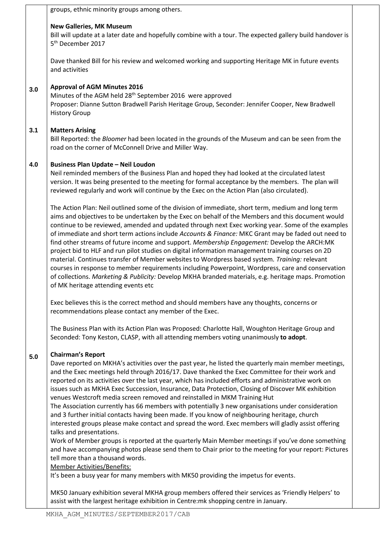**3.0 3.1 4.0 5.0** groups, ethnic minority groups among others. **New Galleries, MK Museum** Bill will update at a later date and hopefully combine with a tour. The expected gallery build handover is 5 th December 2017 Dave thanked Bill for his review and welcomed working and supporting Heritage MK in future events and activities **Approval of AGM Minutes 2016** Minutes of the AGM held 28<sup>th</sup> September 2016 were approved Proposer: Dianne Sutton Bradwell Parish Heritage Group, Seconder: Jennifer Cooper, New Bradwell History Group **Matters Arising** Bill Reported: the *Bloomer* had been located in the grounds of the Museum and can be seen from the road on the corner of McConnell Drive and Miller Way. **Business Plan Update – Neil Loudon** Neil reminded members of the Business Plan and hoped they had looked at the circulated latest version. It was being presented to the meeting for formal acceptance by the members. The plan will reviewed regularly and work will continue by the Exec on the Action Plan (also circulated). The Action Plan: Neil outlined some of the division of immediate, short term, medium and long term aims and objectives to be undertaken by the Exec on behalf of the Members and this document would continue to be reviewed, amended and updated through next Exec working year. Some of the examples of immediate and short term actions include *Accounts & Finance:* MKC Grant may be faded out need to find other streams of future income and support. *Membership Engagement:* Develop the ARCH:MK project bid to HLF and run pilot studies on digital information management training courses on 2D material. Continues transfer of Member websites to Wordpress based system*. Training:* relevant courses in response to member requirements including Powerpoint, Wordpress, care and conservation of collections. *Marketing & Publicity:* Develop MKHA branded materials, e.g. heritage maps. Promotion of MK heritage attending events etc Exec believes this is the correct method and should members have any thoughts, concerns or recommendations please contact any member of the Exec. The Business Plan with its Action Plan was Proposed: Charlotte Hall, Woughton Heritage Group and Seconded: Tony Keston, CLASP, with all attending members voting unanimously **to adopt**. **Chairman's Report** Dave reported on MKHA's activities over the past year, he listed the quarterly main member meetings, and the Exec meetings held through 2016/17. Dave thanked the Exec Committee for their work and reported on its activities over the last year, which has included efforts and administrative work on issues such as MKHA Exec Succession, Insurance, Data Protection, Closing of Discover MK exhibition venues Westcroft media screen removed and reinstalled in MKM Training Hut The Association currently has 66 members with potentially 3 new organisations under consideration and 3 further initial contacts having been made. If you know of neighbouring heritage, church interested groups please make contact and spread the word. Exec members will gladly assist offering talks and presentations. Work of Member groups is reported at the quarterly Main Member meetings if you've done something and have accompanying photos please send them to Chair prior to the meeting for your report: Pictures tell more than a thousand words. Member Activities/Benefits: It's been a busy year for many members with MK50 providing the impetus for events.

MK50 January exhibition several MKHA group members offered their services as 'Friendly Helpers' to assist with the largest heritage exhibition in Centre:mk shopping centre in January.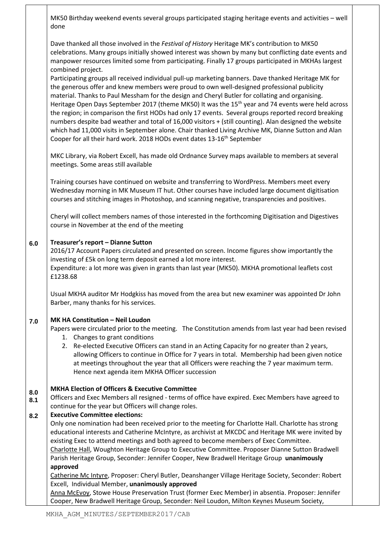|                   | MK50 Birthday weekend events several groups participated staging heritage events and activities - well<br>done                                                                                                                                                                                                                                                                                                                                                                                                                                                                                                                                                                                                                                                                                                                          |
|-------------------|-----------------------------------------------------------------------------------------------------------------------------------------------------------------------------------------------------------------------------------------------------------------------------------------------------------------------------------------------------------------------------------------------------------------------------------------------------------------------------------------------------------------------------------------------------------------------------------------------------------------------------------------------------------------------------------------------------------------------------------------------------------------------------------------------------------------------------------------|
|                   | Dave thanked all those involved in the Festival of History Heritage MK's contribution to MK50<br>celebrations. Many groups initially showed interest was shown by many but conflicting date events and<br>manpower resources limited some from participating. Finally 17 groups participated in MKHAs largest<br>combined project.                                                                                                                                                                                                                                                                                                                                                                                                                                                                                                      |
|                   | Participating groups all received individual pull-up marketing banners. Dave thanked Heritage MK for<br>the generous offer and knew members were proud to own well-designed professional publicity<br>material. Thanks to Paul Messham for the design and Cheryl Butler for collating and organising.<br>Heritage Open Days September 2017 (theme MK50) It was the 15 <sup>th</sup> year and 74 events were held across<br>the region; in comparison the first HODs had only 17 events. Several groups reported record breaking<br>numbers despite bad weather and total of 16,000 visitors + (still counting). Alan designed the website<br>which had 11,000 visits in September alone. Chair thanked Living Archive MK, Dianne Sutton and Alan<br>Cooper for all their hard work. 2018 HODs event dates 13-16 <sup>th</sup> September |
|                   | MKC Library, via Robert Excell, has made old Ordnance Survey maps available to members at several<br>meetings. Some areas still available                                                                                                                                                                                                                                                                                                                                                                                                                                                                                                                                                                                                                                                                                               |
|                   | Training courses have continued on website and transferring to WordPress. Members meet every<br>Wednesday morning in MK Museum IT hut. Other courses have included large document digitisation<br>courses and stitching images in Photoshop, and scanning negative, transparencies and positives.                                                                                                                                                                                                                                                                                                                                                                                                                                                                                                                                       |
|                   | Cheryl will collect members names of those interested in the forthcoming Digitisation and Digestives<br>course in November at the end of the meeting                                                                                                                                                                                                                                                                                                                                                                                                                                                                                                                                                                                                                                                                                    |
| 6.0               | Treasurer's report - Dianne Sutton<br>2016/17 Account Papers circulated and presented on screen. Income figures show importantly the<br>investing of £5k on long term deposit earned a lot more interest.<br>Expenditure: a lot more was given in grants than last year (MK50). MKHA promotional leaflets cost<br>£1238.68                                                                                                                                                                                                                                                                                                                                                                                                                                                                                                              |
|                   | Usual MKHA auditor Mr Hodgkiss has moved from the area but new examiner was appointed Dr John<br>Barber, many thanks for his services.                                                                                                                                                                                                                                                                                                                                                                                                                                                                                                                                                                                                                                                                                                  |
| 7.0               | MK HA Constitution - Neil Loudon<br>Papers were circulated prior to the meeting. The Constitution amends from last year had been revised<br>Changes to grant conditions<br>1.<br>2. Re-elected Executive Officers can stand in an Acting Capacity for no greater than 2 years,<br>allowing Officers to continue in Office for 7 years in total. Membership had been given notice<br>at meetings throughout the year that all Officers were reaching the 7 year maximum term.<br>Hence next agenda item MKHA Officer succession                                                                                                                                                                                                                                                                                                          |
| 8.0<br>8.1<br>8.2 | <b>MKHA Election of Officers &amp; Executive Committee</b><br>Officers and Exec Members all resigned - terms of office have expired. Exec Members have agreed to<br>continue for the year but Officers will change roles.<br><b>Executive Committee elections:</b>                                                                                                                                                                                                                                                                                                                                                                                                                                                                                                                                                                      |
|                   | Only one nomination had been received prior to the meeting for Charlotte Hall. Charlotte has strong<br>educational interests and Catherine McIntyre, as archivist at MKCDC and Heritage MK were invited by<br>existing Exec to attend meetings and both agreed to become members of Exec Committee.<br>Charlotte Hall, Woughton Heritage Group to Executive Committee. Proposer Dianne Sutton Bradwell<br>Parish Heritage Group, Seconder: Jennifer Cooper, New Bradwell Heritage Group unanimously                                                                                                                                                                                                                                                                                                                                     |
|                   | approved<br>Catherine Mc Intyre, Proposer: Cheryl Butler, Deanshanger Village Heritage Society, Seconder: Robert<br>Excell, Individual Member, unanimously approved                                                                                                                                                                                                                                                                                                                                                                                                                                                                                                                                                                                                                                                                     |
|                   | Anna McEvoy, Stowe House Preservation Trust (former Exec Member) in absentia. Proposer: Jennifer<br>Cooper, New Bradwell Heritage Group, Seconder: Neil Loudon, Milton Keynes Museum Society,                                                                                                                                                                                                                                                                                                                                                                                                                                                                                                                                                                                                                                           |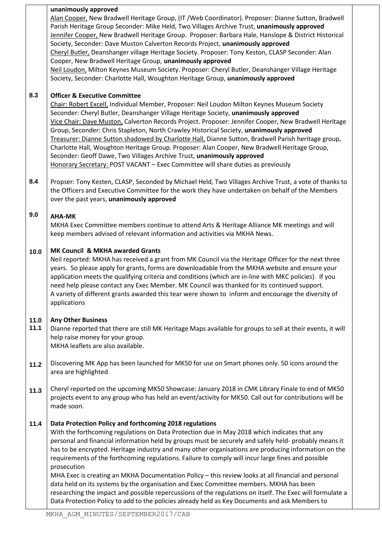|              | unanimously approved                                                                                                                                                                                                                                                                                                                                                                                                                                                                                                                                                                                                                                                                                                                                  |
|--------------|-------------------------------------------------------------------------------------------------------------------------------------------------------------------------------------------------------------------------------------------------------------------------------------------------------------------------------------------------------------------------------------------------------------------------------------------------------------------------------------------------------------------------------------------------------------------------------------------------------------------------------------------------------------------------------------------------------------------------------------------------------|
|              | Alan Cooper, New Bradwell Heritage Group, (IT / Web Coordinator). Proposer: Dianne Sutton, Bradwell<br>Parish Heritage Group Seconder: Mike Held, Two Villages Archive Trust, unanimously approved<br>Jennifer Cooper, New Bradwell Heritage Group. Proposer: Barbara Hale, Hanslope & District Historical<br>Society, Seconder: Dave Muston Calverton Records Project, unanimously approved<br>Cheryl Butler, Deanshanger village Heritage Society. Proposer: Tony Keston, CLASP Seconder: Alan<br>Cooper, New Bradwell Heritage Group, unanimously approved<br>Neil Loudon, Milton Keynes Museum Society. Proposer: Cheryl Butler, Deanshanger Village Heritage<br>Society, Seconder: Charlotte Hall, Woughton Heritage Group, unanimously approved |
| 8.3          | <b>Officer &amp; Executive Committee</b><br>Chair: Robert Excell, Individual Member, Proposer: Neil Loudon Milton Keynes Museum Society<br>Seconder: Cheryl Butler, Deanshanger Village Heritage Society, unanimously approved<br>Vice Chair: Dave Muston, Calverton Records Project. Proposer: Jennifer Cooper, New Bradwell Heritage<br>Group, Seconder: Chris Stapleton, North Crawley Historical Society, unanimously approved<br>Treasurer: Dianne Sutton shadowed by Charlotte Hall, Dianne Sutton, Bradwell Parish heritage group,                                                                                                                                                                                                             |
|              | Charlotte Hall, Woughton Heritage Group. Proposer: Alan Cooper, New Bradwell Heritage Group,<br>Seconder: Geoff Dawe, Two Villages Archive Trust, unanimously approved<br>Honorary Secretary: POST VACANT - Exec Committee will share duties as previously                                                                                                                                                                                                                                                                                                                                                                                                                                                                                            |
| 8.4          | Propser: Tony Kesten, CLASP, Seconded by Michael Held, Two Villages Archive Trust, a vote of thanks to<br>the Officers and Executive Committee for the work they have undertaken on behalf of the Members<br>over the past years, unanimously approved                                                                                                                                                                                                                                                                                                                                                                                                                                                                                                |
| 9.0          | <b>AHA-MK</b><br>MKHA Exec Committee members continue to attend Arts & Heritage Alliance MK meetings and will<br>keep members advised of relevant information and activities via MKHA News.                                                                                                                                                                                                                                                                                                                                                                                                                                                                                                                                                           |
| 10.0         | MK Council & MKHA awarded Grants<br>Neil reported: MKHA has received a grant from MK Council via the Heritage Officer for the next three<br>years. So please apply for grants, forms are downloadable from the MKHA website and ensure your<br>application meets the qualifying criteria and conditions (which are in-line with MKC policies). If you<br>need help please contact any Exec Member. MK Council was thanked for its continued support.<br>A variety of different grants awarded this tear were shown to inform and encourage the diversity of<br>applications                                                                                                                                                                           |
| 11.0<br>11.1 | <b>Any Other Business</b><br>Dianne reported that there are still MK Heritage Maps available for groups to sell at their events, it will<br>help raise money for your group.<br>MKHA leaflets are also available.                                                                                                                                                                                                                                                                                                                                                                                                                                                                                                                                     |
| 11.2         | Discovering MK App has been launched for MK50 for use on Smart phones only. 50 icons around the<br>area are highlighted                                                                                                                                                                                                                                                                                                                                                                                                                                                                                                                                                                                                                               |
| 11.3         | Cheryl reported on the upcoming MK50 Showcase: January 2018 in CMK Library Finale to end of MK50<br>projects event to any group who has held an event/activity for MK50. Call out for contributions will be<br>made soon.                                                                                                                                                                                                                                                                                                                                                                                                                                                                                                                             |
| 11.4         | Data Protection Policy and forthcoming 2018 regulations<br>With the forthcoming regulations on Data Protection due in May 2018 which indicates that any<br>personal and financial information held by groups must be securely and safely held- probably means it<br>has to be encrypted. Heritage industry and many other organisations are producing information on the<br>requirements of the forthcoming regulations. Failure to comply will incur large fines and possible<br>prosecution                                                                                                                                                                                                                                                         |
|              | MHA Exec is creating an MKHA Documentation Policy - this review looks at all financial and personal<br>data held on its systems by the organisation and Exec Committee members. MKHA has been<br>researching the impact and possible repercussions of the regulations on itself. The Exec will formulate a<br>Data Protection Policy to add to the policies already held as Key Documents and ask Members to                                                                                                                                                                                                                                                                                                                                          |